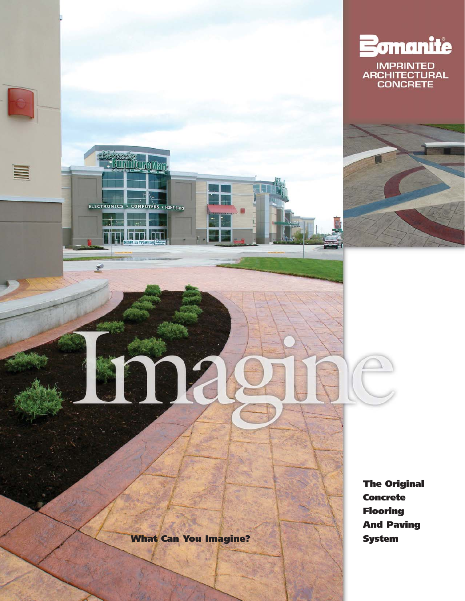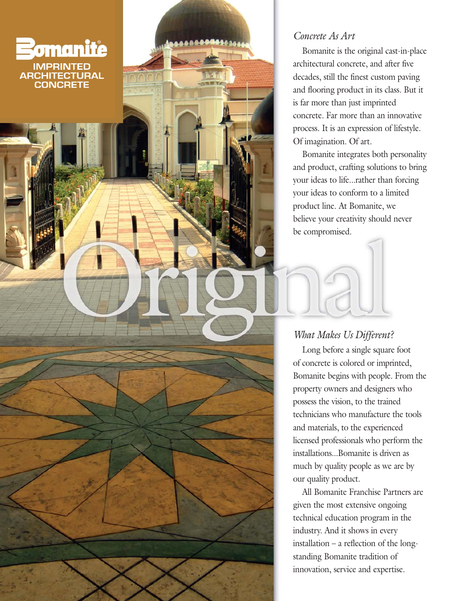

### *Concrete As Art*

Bomanite is the original cast-in-place architectural concrete, and after five decades, still the finest custom paving and flooring product in its class. But it is far more than just imprinted concrete. Far more than an innovative process. It is an expression of lifestyle. Of imagination. Of art.

Bomanite integrates both personality and product, crafting solutions to bring your ideas to life...rather than forcing your ideas to conform to a limited product line. At Bomanite, we believe your creativity should never be compromised.

# *What Makes Us Different?*

Long before a single square foot of concrete is colored or imprinted, Bomanite begins with people. From the property owners and designers who possess the vision, to the trained technicians who manufacture the tools and materials, to the experienced licensed professionals who perform the installations...Bomanite is driven as much by quality people as we are by our quality product.

All Bomanite Franchise Partners are given the most extensive ongoing technical education program in the industry. And it shows in every installation – a reflection of the longstanding Bomanite tradition of innovation, service and expertise.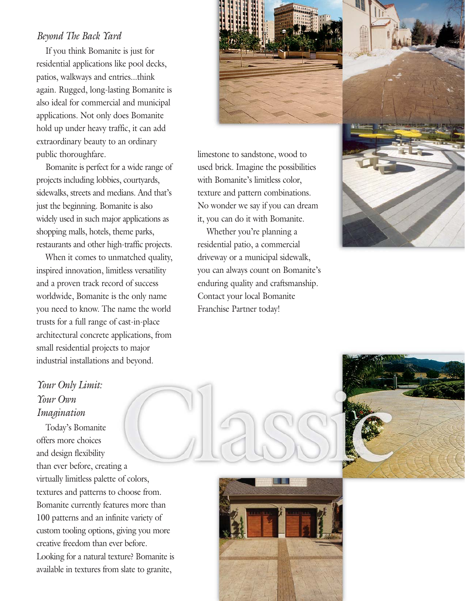### *Beyond The Back Yard*

If you think Bomanite is just for residential applications like pool decks, patios, walkways and entries...think again. Rugged, long-lasting Bomanite is also ideal for commercial and municipal applications. Not only does Bomanite hold up under heavy traffic, it can add extraordinary beauty to an ordinary public thoroughfare.

Bomanite is perfect for a wide range of projects including lobbies, courtyards, sidewalks, streets and medians. And that's just the beginning. Bomanite is also widely used in such major applications as shopping malls, hotels, theme parks, restaurants and other high-traffic projects.

When it comes to unmatched quality, inspired innovation, limitless versatility and a proven track record of success worldwide, Bomanite is the only name you need to know. The name the world trusts for a full range of cast-in-place architectural concrete applications, from small residential projects to major industrial installations and beyond.

limestone to sandstone, wood to used brick. Imagine the possibilities with Bomanite's limitless color, texture and pattern combinations. No wonder we say if you can dream it, you can do it with Bomanite.

Whether you're planning a residential patio, a commercial driveway or a municipal sidewalk, you can always count on Bomanite's enduring quality and craftsmanship. Contact your local Bomanite Franchise Partner today!



# *Your Only Limit: Your Own Imagination*

Today's Bomanite offers more choices and design flexibility than ever before, creating a virtually limitless palette of colors, textures and patterns to choose from. Bomanite currently features more than 100 patterns and an infinite variety of custom tooling options, giving you more creative freedom than ever before. Looking for a natural texture? Bomanite is available in textures from slate to granite,



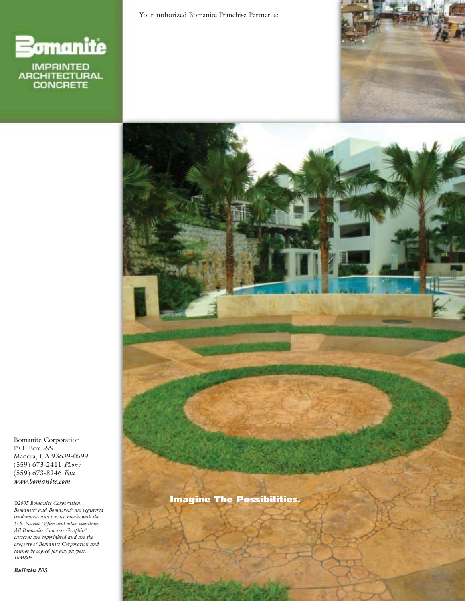

Your authorized Bomanite Franchise Partner is:





**Imagine The Possibilities.**

Bomanite Corporation P.O. Box 599 Madera, CA 93639-0599 (559) 673-2411 *Phone* (559) 673-8246 *Fax www.bomanite.com*

*©2005 Bomanite Corporation. Bomanite® and Bomacron® are registered trademarks and service marks with the U.S. Patent Office and other countries. All Bomanite Concrete Graphics® patterns are copyrighted and are the property of Bomanite Corporation and cannot be copied for any purpose. 10M805*

*Bulletin 805*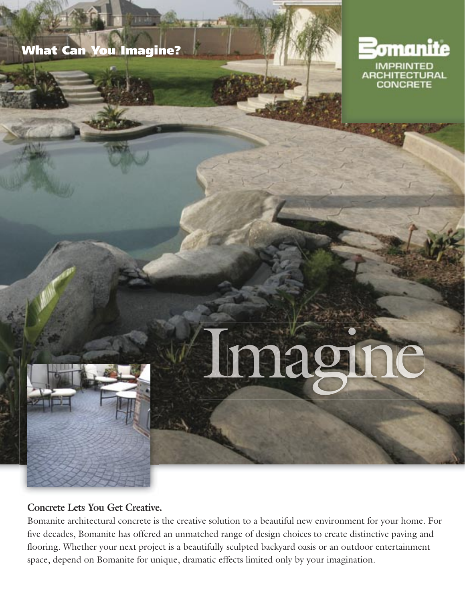# What Can You Imagine?

**ALCOHOL** 



# Imagine

## **Concrete Lets You Get Creative.**

Bomanite architectural concrete is the creative solution to a beautiful new environment for your home. For five decades, Bomanite has offered an unmatched range of design choices to create distinctive paving and flooring. Whether your next project is a beautifully sculpted backyard oasis or an outdoor entertainment space, depend on Bomanite for unique, dramatic effects limited only by your imagination.